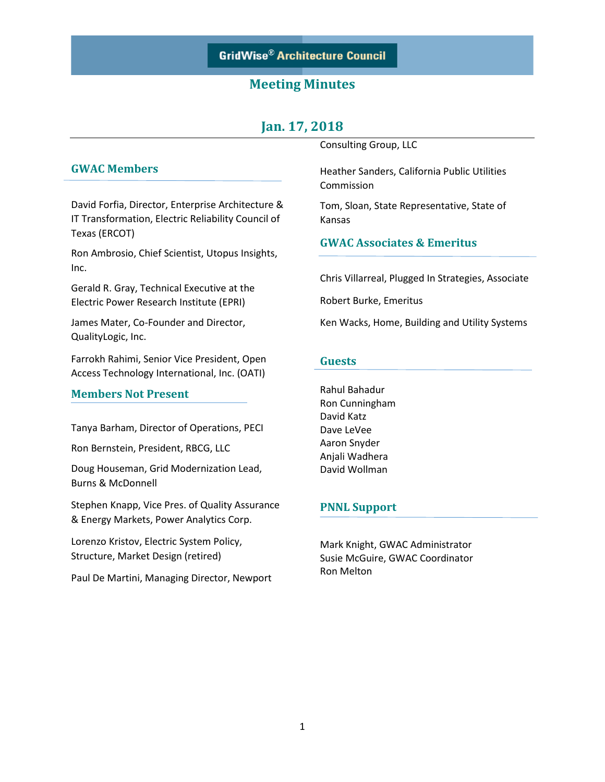# **Jan. 17, 2018**

### **GWAC Members**

David Forfia, Director, Enterprise Architecture & IT Transformation, Electric Reliability Council of Texas (ERCOT)

Ron Ambrosio, Chief Scientist, Utopus Insights, Inc.

Gerald R. Gray, Technical Executive at the Electric Power Research Institute (EPRI)

James Mater, Co-Founder and Director, QualityLogic, Inc.

Farrokh Rahimi, Senior Vice President, Open Access Technology International, Inc. (OATI)

#### **Members Not Present**

Tanya Barham, Director of Operations, PECI

Ron Bernstein, President, RBCG, LLC

Doug Houseman, Grid Modernization Lead, Burns & McDonnell

Stephen Knapp, Vice Pres. of Quality Assurance & Energy Markets, Power Analytics Corp.

Lorenzo Kristov, Electric System Policy, Structure, Market Design (retired)

Paul De Martini, Managing Director, Newport

Consulting Group, LLC

Heather Sanders, California Public Utilities Commission

Tom, Sloan, State Representative, State of Kansas

### **GWAC Associates & Emeritus**

Chris Villarreal, Plugged In Strategies, Associate

Robert Burke, Emeritus

Ken Wacks, Home, Building and Utility Systems

#### **Guests**

Rahul Bahadur Ron Cunningham David Katz Dave LeVee Aaron Snyder Anjali Wadhera David Wollman

#### **PNNL Support**

Mark Knight, GWAC Administrator Susie McGuire, GWAC Coordinator Ron Melton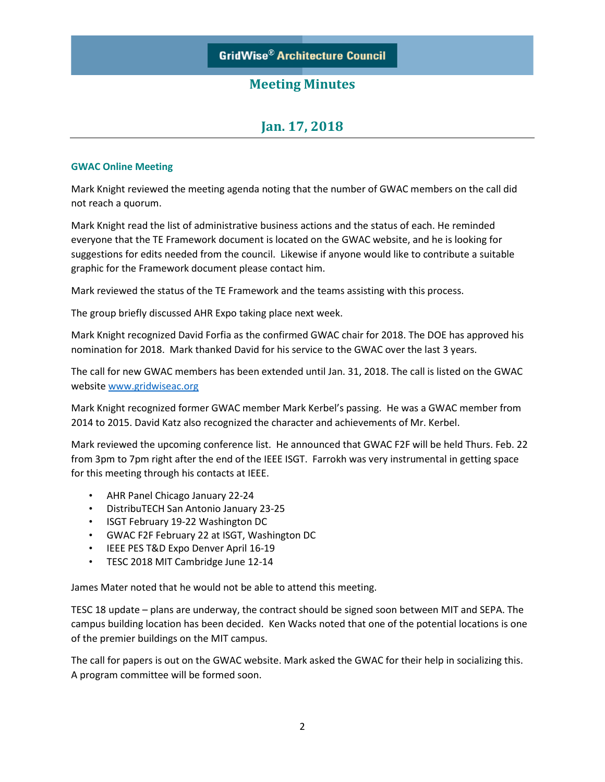# **Jan. 17, 2018**

#### **GWAC Online Meeting**

Mark Knight reviewed the meeting agenda noting that the number of GWAC members on the call did not reach a quorum.

Mark Knight read the list of administrative business actions and the status of each. He reminded everyone that the TE Framework document is located on the GWAC website, and he is looking for suggestions for edits needed from the council. Likewise if anyone would like to contribute a suitable graphic for the Framework document please contact him.

Mark reviewed the status of the TE Framework and the teams assisting with this process.

The group briefly discussed AHR Expo taking place next week.

Mark Knight recognized David Forfia as the confirmed GWAC chair for 2018. The DOE has approved his nomination for 2018. Mark thanked David for his service to the GWAC over the last 3 years.

The call for new GWAC members has been extended until Jan. 31, 2018. The call is listed on the GWAC websit[e www.gridwiseac.org](http://www.gridwiseac.org/)

Mark Knight recognized former GWAC member Mark Kerbel's passing. He was a GWAC member from 2014 to 2015. David Katz also recognized the character and achievements of Mr. Kerbel.

Mark reviewed the upcoming conference list. He announced that GWAC F2F will be held Thurs. Feb. 22 from 3pm to 7pm right after the end of the IEEE ISGT. Farrokh was very instrumental in getting space for this meeting through his contacts at IEEE.

- AHR Panel Chicago January 22-24
- DistribuTECH San Antonio January 23-25
- ISGT February 19-22 Washington DC
- GWAC F2F February 22 at ISGT, Washington DC
- IEEE PES T&D Expo Denver April 16-19
- TESC 2018 MIT Cambridge June 12-14

James Mater noted that he would not be able to attend this meeting.

TESC 18 update – plans are underway, the contract should be signed soon between MIT and SEPA. The campus building location has been decided. Ken Wacks noted that one of the potential locations is one of the premier buildings on the MIT campus.

The call for papers is out on the GWAC website. Mark asked the GWAC for their help in socializing this. A program committee will be formed soon.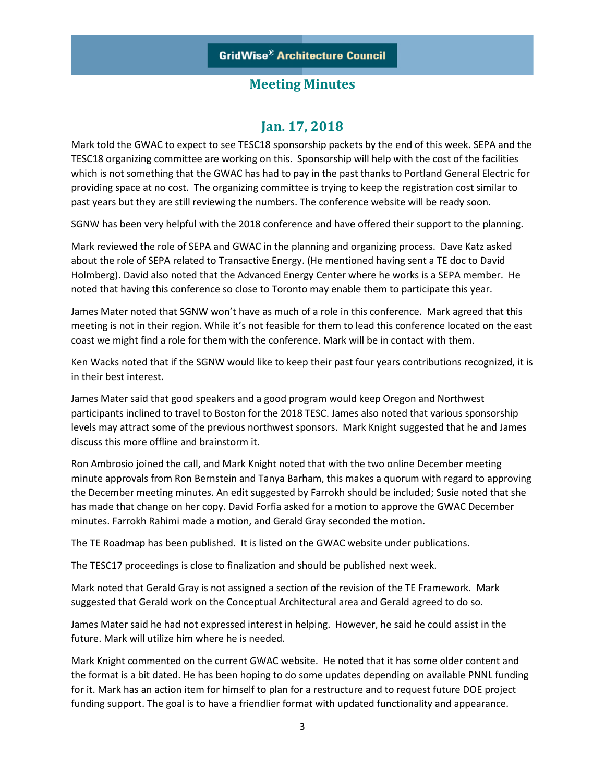## **Jan. 17, 2018**

Mark told the GWAC to expect to see TESC18 sponsorship packets by the end of this week. SEPA and the TESC18 organizing committee are working on this. Sponsorship will help with the cost of the facilities which is not something that the GWAC has had to pay in the past thanks to Portland General Electric for providing space at no cost. The organizing committee is trying to keep the registration cost similar to past years but they are still reviewing the numbers. The conference website will be ready soon.

SGNW has been very helpful with the 2018 conference and have offered their support to the planning.

Mark reviewed the role of SEPA and GWAC in the planning and organizing process. Dave Katz asked about the role of SEPA related to Transactive Energy. (He mentioned having sent a TE doc to David Holmberg). David also noted that the Advanced Energy Center where he works is a SEPA member. He noted that having this conference so close to Toronto may enable them to participate this year.

James Mater noted that SGNW won't have as much of a role in this conference. Mark agreed that this meeting is not in their region. While it's not feasible for them to lead this conference located on the east coast we might find a role for them with the conference. Mark will be in contact with them.

Ken Wacks noted that if the SGNW would like to keep their past four years contributions recognized, it is in their best interest.

James Mater said that good speakers and a good program would keep Oregon and Northwest participants inclined to travel to Boston for the 2018 TESC. James also noted that various sponsorship levels may attract some of the previous northwest sponsors. Mark Knight suggested that he and James discuss this more offline and brainstorm it.

Ron Ambrosio joined the call, and Mark Knight noted that with the two online December meeting minute approvals from Ron Bernstein and Tanya Barham, this makes a quorum with regard to approving the December meeting minutes. An edit suggested by Farrokh should be included; Susie noted that she has made that change on her copy. David Forfia asked for a motion to approve the GWAC December minutes. Farrokh Rahimi made a motion, and Gerald Gray seconded the motion.

The TE Roadmap has been published. It is listed on the GWAC website under publications.

The TESC17 proceedings is close to finalization and should be published next week.

Mark noted that Gerald Gray is not assigned a section of the revision of the TE Framework. Mark suggested that Gerald work on the Conceptual Architectural area and Gerald agreed to do so.

James Mater said he had not expressed interest in helping. However, he said he could assist in the future. Mark will utilize him where he is needed.

Mark Knight commented on the current GWAC website. He noted that it has some older content and the format is a bit dated. He has been hoping to do some updates depending on available PNNL funding for it. Mark has an action item for himself to plan for a restructure and to request future DOE project funding support. The goal is to have a friendlier format with updated functionality and appearance.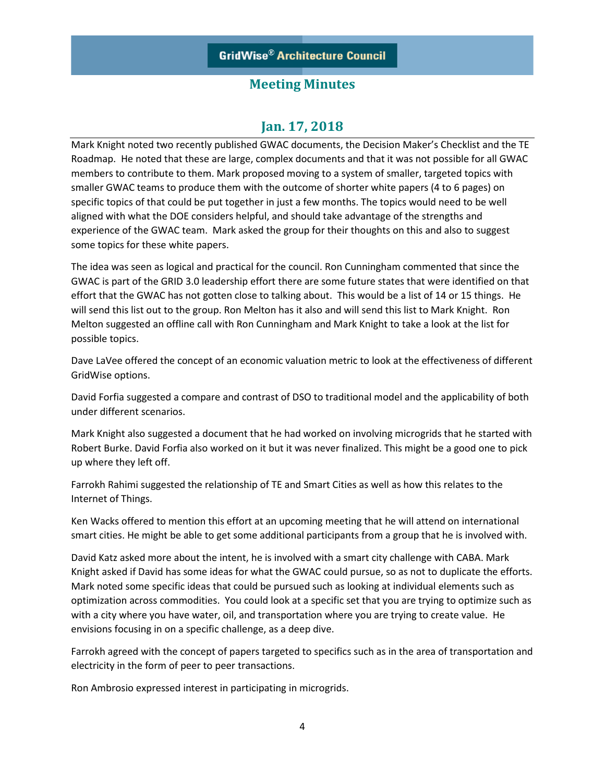## **Jan. 17, 2018**

Mark Knight noted two recently published GWAC documents, the Decision Maker's Checklist and the TE Roadmap. He noted that these are large, complex documents and that it was not possible for all GWAC members to contribute to them. Mark proposed moving to a system of smaller, targeted topics with smaller GWAC teams to produce them with the outcome of shorter white papers (4 to 6 pages) on specific topics of that could be put together in just a few months. The topics would need to be well aligned with what the DOE considers helpful, and should take advantage of the strengths and experience of the GWAC team. Mark asked the group for their thoughts on this and also to suggest some topics for these white papers.

The idea was seen as logical and practical for the council. Ron Cunningham commented that since the GWAC is part of the GRID 3.0 leadership effort there are some future states that were identified on that effort that the GWAC has not gotten close to talking about. This would be a list of 14 or 15 things. He will send this list out to the group. Ron Melton has it also and will send this list to Mark Knight. Ron Melton suggested an offline call with Ron Cunningham and Mark Knight to take a look at the list for possible topics.

Dave LaVee offered the concept of an economic valuation metric to look at the effectiveness of different GridWise options.

David Forfia suggested a compare and contrast of DSO to traditional model and the applicability of both under different scenarios.

Mark Knight also suggested a document that he had worked on involving microgrids that he started with Robert Burke. David Forfia also worked on it but it was never finalized. This might be a good one to pick up where they left off.

Farrokh Rahimi suggested the relationship of TE and Smart Cities as well as how this relates to the Internet of Things.

Ken Wacks offered to mention this effort at an upcoming meeting that he will attend on international smart cities. He might be able to get some additional participants from a group that he is involved with.

David Katz asked more about the intent, he is involved with a smart city challenge with CABA. Mark Knight asked if David has some ideas for what the GWAC could pursue, so as not to duplicate the efforts. Mark noted some specific ideas that could be pursued such as looking at individual elements such as optimization across commodities. You could look at a specific set that you are trying to optimize such as with a city where you have water, oil, and transportation where you are trying to create value. He envisions focusing in on a specific challenge, as a deep dive.

Farrokh agreed with the concept of papers targeted to specifics such as in the area of transportation and electricity in the form of peer to peer transactions.

Ron Ambrosio expressed interest in participating in microgrids.